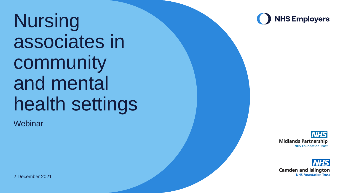Nursing associates in community and mental health settings

**Webinar** 



**NHS Midlands Partnership NHS Foundation Trust** 



2 December 2021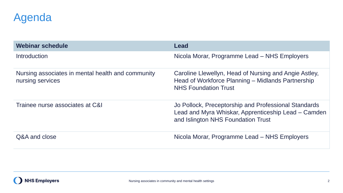#### Agenda

| Webinar schedule                                                      | Lead                                                                                                                                              |  |
|-----------------------------------------------------------------------|---------------------------------------------------------------------------------------------------------------------------------------------------|--|
| <b>Introduction</b>                                                   | Nicola Morar, Programme Lead - NHS Employers                                                                                                      |  |
| Nursing associates in mental health and community<br>nursing services | Caroline Llewellyn, Head of Nursing and Angie Astley,<br>Head of Workforce Planning - Midlands Partnership<br><b>NHS Foundation Trust</b>         |  |
| Trainee nurse associates at C&I                                       | Jo Pollock, Preceptorship and Professional Standards<br>Lead and Myra Whiskar, Apprenticeship Lead – Camden<br>and Islington NHS Foundation Trust |  |
| Q&A and close                                                         | Nicola Morar, Programme Lead – NHS Employers                                                                                                      |  |

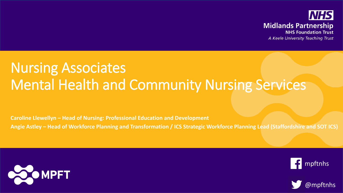

## Nursing Associates Mental Health and Community Nursing Services

**Caroline Llewellyn – Head of Nursing: Professional Education and Development**

**Angie Astley – Head of Workforce Planning and Transformation / ICS Strategic Workforce Planning Lead (Staffordshire and SOT ICS)**





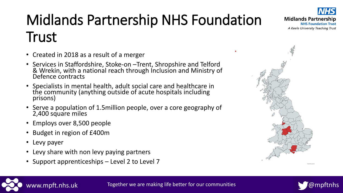# Midlands Partnership NHS Foundation **Trust**

- Created in 2018 as a result of a merger
- Services in Staffordshire, Stoke-on Trent, Shropshire and Telford & Wrekin, with a national reach through Inclusion and Ministry of Defence contracts
- Specialists in mental health, adult social care and healthcare in the community (anything outside of acute hospitals including prisons)
- Serve a population of 1.5million people, over a core geography of 2,400 square miles
- Employs over 8,500 people
- Budget in region of £400m
- Levy payer
- Levy share with non levy paying partners
- Support apprenticeships Level 2 to Level 7











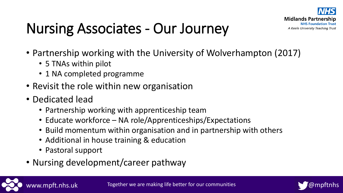

## Nursing Associates - Our Journey

- Partnership working with the University of Wolverhampton (2017)
	- 5 TNAs within pilot
	- 1 NA completed programme
- Revisit the role within new organisation
- Dedicated lead
	- Partnership working with apprenticeship team
	- Educate workforce NA role/Apprenticeships/Expectations
	- Build momentum within organisation and in partnership with others
	- Additional in house training & education
	- Pastoral support
- Nursing development/career pathway

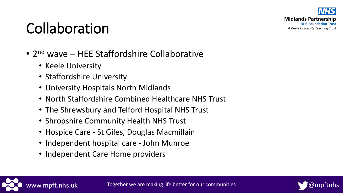

## Collaboration

- 2<sup>nd</sup> wave HEE Staffordshire Collaborative
	- Keele University
	- Staffordshire University
	- University Hospitals North Midlands
	- North Staffordshire Combined Healthcare NHS Trust
	- The Shrewsbury and Telford Hospital NHS Trust
	- Shropshire Community Health NHS Trust
	- Hospice Care St Giles, Douglas Macmillain
	- Independent hospital care John Munroe
	- Independent Care Home providers



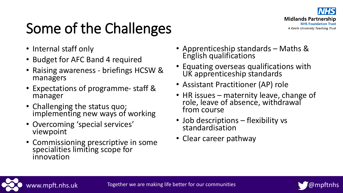

# Some of the Challenges

- Internal staff only
- Budget for AFC Band 4 required
- Raising awareness briefings HCSW & managers
- Expectations of programme- staff & manager
- Challenging the status quo; implementing new ways of working
- Overcoming 'special services' viewpoint
- Commissioning prescriptive in some specialities limiting scope for innovation
- Apprenticeship standards Maths & English qualifications
- Equating overseas qualifications with UK apprenticeship standards
- Assistant Practitioner (AP) role
- HR issues maternity leave, change of role, leave of absence, withdrawal from course
- Job descriptions flexibility vs standardisation
- Clear career pathway



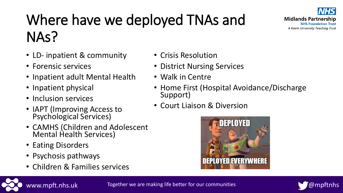

## Where have we deployed TNAs and NAs?

- LD- inpatient & community
- Forensic services
- Inpatient adult Mental Health
- Inpatient physical
- Inclusion services
- IAPT (Improving Access to Psychological Services)
- CAMHS (Children and Adolescent Mental Health Services)
- Eating Disorders
- Psychosis pathways
- Children & Families services
- Crisis Resolution
- District Nursing Services
- Walk in Centre
- Home First (Hospital Avoidance/Discharge Support)
- Court Liaison & Diversion





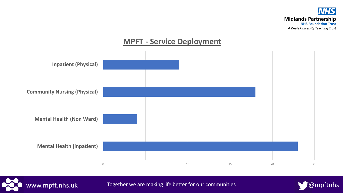

#### **MPFT - Service Deployment**





www.mpft.nhs.uk Together we are making life better for our communities **With the Compftnhs** 

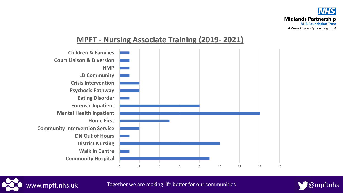



#### **MPFT - Nursing Associate Training (2019- 2021)**



www.mpft.nhs.uk Together we are making life better for our communities  $\bigcirc$  @mpftnhs

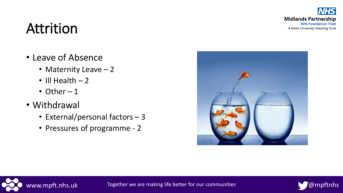**NHS Midlands Partnership NHS Foundation Trust** A Keele University Teaching Trust

## Attrition

- Leave of Absence
	- Maternity Leave 2
	- $\cdot$  III Health  $-2$
	- Other  $-1$
- Withdrawal
	- External/personal factors 3
	- Pressures of programme 2





www.mpft.nhs.uk Together we are making life better for our communities **With the Compftnhs** 

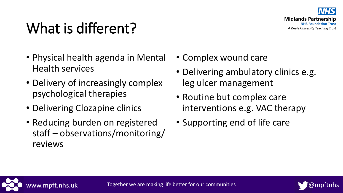

## What is different?

- Physical health agenda in Mental Health services
- Delivery of increasingly complex psychological therapies
- Delivering Clozapine clinics
- Reducing burden on registered staff – observations/monitoring/ reviews
- Complex wound care
- Delivering ambulatory clinics e.g. leg ulcer management
- Routine but complex care interventions e.g. VAC therapy
- Supporting end of life care



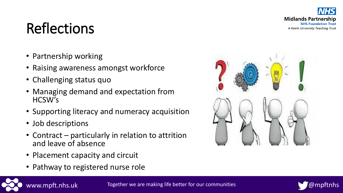**Midlands Partnership NHS Foundation Trust** A Keele University Teaching Trust

## Reflections

- Partnership working
- Raising awareness amongst workforce
- Challenging status quo
- Managing demand and expectation from HCSW's
- Supporting literacy and numeracy acquisition
- Job descriptions
- Contract particularly in relation to attrition and leave of absence
- Placement capacity and circuit
- Pathway to registered nurse role





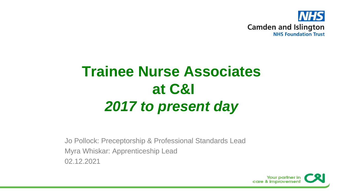

## **Trainee Nurse Associates at C&I** *2017 to present day*

Jo Pollock: Preceptorship & Professional Standards Lead Myra Whiskar: Apprenticeship Lead 02.12.2021

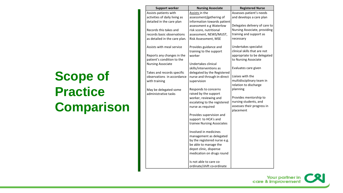#### **Scope of Practice Comparison**

| <b>Support worker</b>         | <b>Nursing Associate</b>     | <b>Registered Nurse</b>       |
|-------------------------------|------------------------------|-------------------------------|
| Assists patients with         | Assists in the               | Assesses patient's needs      |
| activities of daily living as | assessment/gathering of      | and develops a care plan      |
| detailed in the care plan     | information towards patient  |                               |
|                               | assessment e.g Waterlow      | Delegates delivery of care to |
| Records this takes and        | risk score, nutritional      | Nursing Associate, providing  |
| records basic observations    | assessment, NEWS/MUST,       | training and support as       |
| as detailed in the care plan. | Risk Assessment, MSE         | necessary                     |
| Assists with meal service     | Provides guidance and        | Undertakes specialist         |
|                               | training to the support      | clinical skills that are not  |
| Reports any changes in the    | worker                       | appropriate to be delegated   |
| patient's condition to the    |                              | to Nursing Associate          |
| <b>Nursing Associate</b>      | Undertakes clinical          |                               |
|                               | skills/interventions as      | Evaluates care given          |
| Takes and records specific    | delegated by the Registered  |                               |
| observations in accordance    | nurse and through in-direct  | Liaises with the              |
| with training                 | supervision                  | multidisciplinary team in     |
|                               |                              | relation to discharge         |
| May be delegated some         | Responds to concerns         | planning                      |
| administrative tasks          | raised by the support        |                               |
|                               | worker, reviewing and        | Provides mentorship to        |
|                               | escalating to the registered | nursing students, and         |
|                               | nurse as required            | assesses their progress in    |
|                               |                              | placement                     |
|                               | Provides supervision and     |                               |
|                               | support to HCA's and         |                               |
|                               | trainee Nursing Associates   |                               |
|                               | Involved in medicines        |                               |
|                               | management as delegated      |                               |
|                               | by the registered nurse e.g. |                               |
|                               | be able to manage the        |                               |
|                               | depot clinic, dispense       |                               |
|                               | medication on drugs round    |                               |
|                               | Is not able to care co-      |                               |
|                               | ordinate/shift co-ordinate   |                               |
|                               |                              |                               |

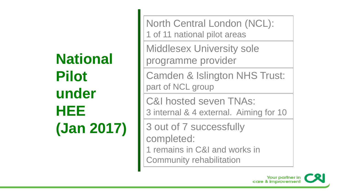## **National Pilot under HEE (Jan 2017)**

North Central London (NCL): 1 of 11 national pilot areas

Middlesex University sole programme provider

Camden & Islington NHS Trust: part of NCL group

C&I hosted seven TNAs: 3 internal & 4 external. Aiming for 10

3 out of 7 successfully completed: 1 remains in C&I and works in

Community rehabilitation

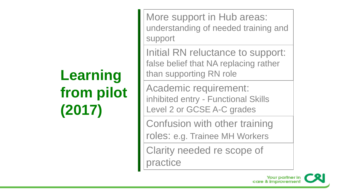# **Learning from pilot (2017)**

More support in Hub areas: understanding of needed training and support

Initial RN reluctance to support: false belief that NA replacing rather than supporting RN role

Academic requirement: inhibited entry - Functional Skills Level 2 or GCSE A-C grades

Confusion with other training

roles: e.g. Trainee MH Workers

Clarity needed re scope of practice

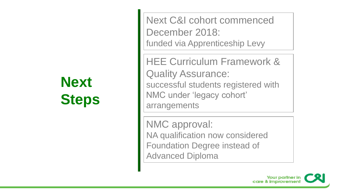## **Next Steps**

Next C&I cohort commenced December 2018: funded via Apprenticeship Levy

HEE Curriculum Framework & Quality Assurance: successful students registered with NMC under 'legacy cohort' arrangements

NMC approval: NA qualification now considered Foundation Degree instead of Advanced Diploma

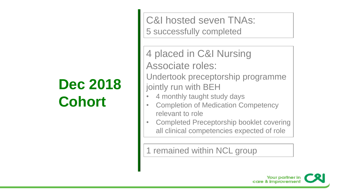## **Dec 2018 Cohort**

C&I hosted seven TNAs: 5 successfully completed

4 placed in C&I Nursing Associate roles:

Undertook preceptorship programme jointly run with BEH

- 4 monthly taught study days
- Completion of Medication Competency relevant to role
- Completed Preceptorship booklet covering all clinical competencies expected of role

1 remained within NCL group

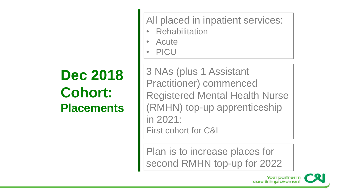## **Dec 2018 Cohort: Placements**

All placed in inpatient services:

- **Rehabilitation**
- Acute
- PICU

3 NAs (plus 1 Assistant Practitioner) commenced Registered Mental Health Nurse (RMHN) top-up apprenticeship in 2021: First cohort for C&I

Plan is to increase places for second RMHN top-up for 2022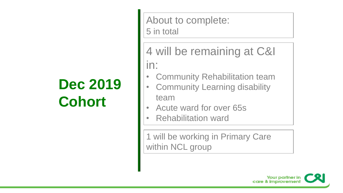## **Dec 2019 Cohort**

About to complete: 5 in total

4 will be remaining at C&I in:

- Community Rehabilitation team
- Community Learning disability team
- Acute ward for over 65s
- Rehabilitation ward

1 will be working in Primary Care within NCL group

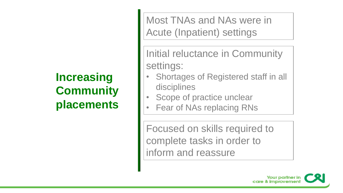#### **Increasing Community placements**

Most TNAs and NAs were in Acute (Inpatient) settings

Initial reluctance in Community settings:

- Shortages of Registered staff in all disciplines
- Scope of practice unclear
- Fear of NAs replacing RNs

Focused on skills required to complete tasks in order to inform and reassure

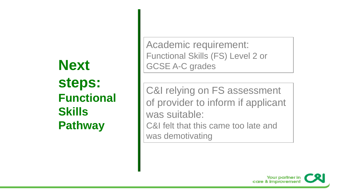### **Next steps: Functional Skills Pathway**

Academic requirement: Functional Skills (FS) Level 2 or GCSE A-C grades

C&I relying on FS assessment of provider to inform if applicant was suitable: C&I felt that this came too late and was demotivating

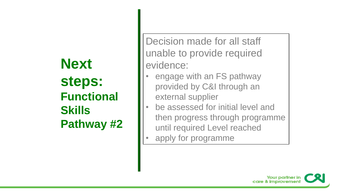#### **Next steps: Functional Skills Pathway #2**

Decision made for all staff unable to provide required evidence:

- engage with an FS pathway provided by C&I through an external supplier
- be assessed for initial level and then progress through programme until required Level reached
- apply for programme

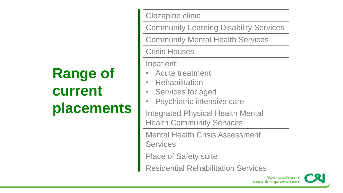## **Range of current placements**

Clozapine clinic Community Learning Disability Services Community Mental Health Services Crisis Houses Inpatient: • Acute treatment **Rehabilitation** Services for aged Psychiatric intensive care Integrated Physical Health Mental Health Community Services Mental Health Crisis Assessment **Services** Place of Safety suite Residential Rehabilitation Services Your partner in

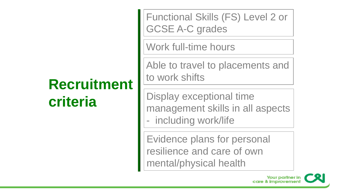## **Recruitment criteria**

Functional Skills (FS) Level 2 or GCSE A-C grades

Work full-time hours

Able to travel to placements and to work shifts

Display exceptional time management skills in all aspects - including work/life

Evidence plans for personal resilience and care of own mental/physical health

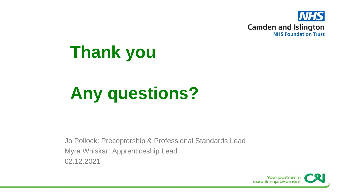

# **Thank you**

# **Any questions?**

Jo Pollock: Preceptorship & Professional Standards Lead Myra Whiskar: Apprenticeship Lead 02.12.2021

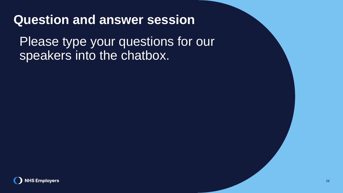#### **Question and answer session**

Please type your questions for our speakers into the chatbox.